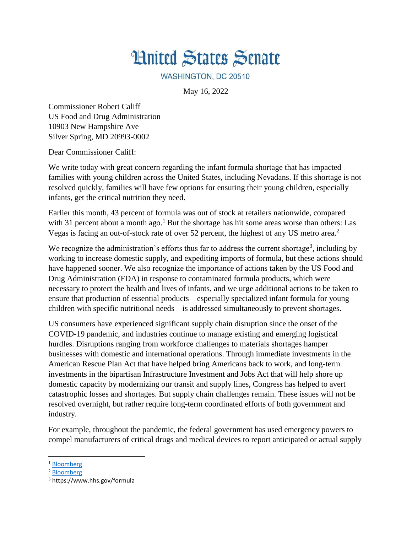## **Hnited States Senate**

WASHINGTON, DC 20510

May 16, 2022

Commissioner Robert Califf US Food and Drug Administration 10903 New Hampshire Ave Silver Spring, MD 20993-0002

Dear Commissioner Califf:

We write today with great concern regarding the infant formula shortage that has impacted families with young children across the United States, including Nevadans. If this shortage is not resolved quickly, families will have few options for ensuring their young children, especially infants, get the critical nutrition they need.

Earlier this month, 43 percent of formula was out of stock at retailers nationwide, compared with 31 percent about a month ago.<sup>1</sup> But the shortage has hit some areas worse than others: Las Vegas is facing an out-of-stock rate of over 52 percent, the highest of any US metro area.<sup>2</sup>

We recognize the administration's efforts thus far to address the current shortage<sup>3</sup>, including by working to increase domestic supply, and expediting imports of formula, but these actions should have happened sooner. We also recognize the importance of actions taken by the US Food and Drug Administration (FDA) in response to contaminated formula products, which were necessary to protect the health and lives of infants, and we urge additional actions to be taken to ensure that production of essential products—especially specialized infant formula for young children with specific nutritional needs—is addressed simultaneously to prevent shortages.

US consumers have experienced significant supply chain disruption since the onset of the COVID-19 pandemic, and industries continue to manage existing and emerging logistical hurdles. Disruptions ranging from workforce challenges to materials shortages hamper businesses with domestic and international operations. Through immediate investments in the American Rescue Plan Act that have helped bring Americans back to work, and long-term investments in the bipartisan Infrastructure Investment and Jobs Act that will help shore up domestic capacity by modernizing our transit and supply lines, Congress has helped to avert catastrophic losses and shortages. But supply chain challenges remain. These issues will not be resolved overnight, but rather require long-term coordinated efforts of both government and industry.

For example, throughout the pandemic, the federal government has used emergency powers to compel manufacturers of critical drugs and medical devices to report anticipated or actual supply

 $\overline{a}$ 

<sup>1</sup> [Bloomberg](https://www.bgov.com/core/news/#!/articles/RBUG5ZT1UM0W)

<sup>2</sup> [Bloomberg](https://www.bgov.com/core/news/#!/articles/RBUG5ZT1UM0W)

<sup>3</sup> https://www.hhs.gov/formula